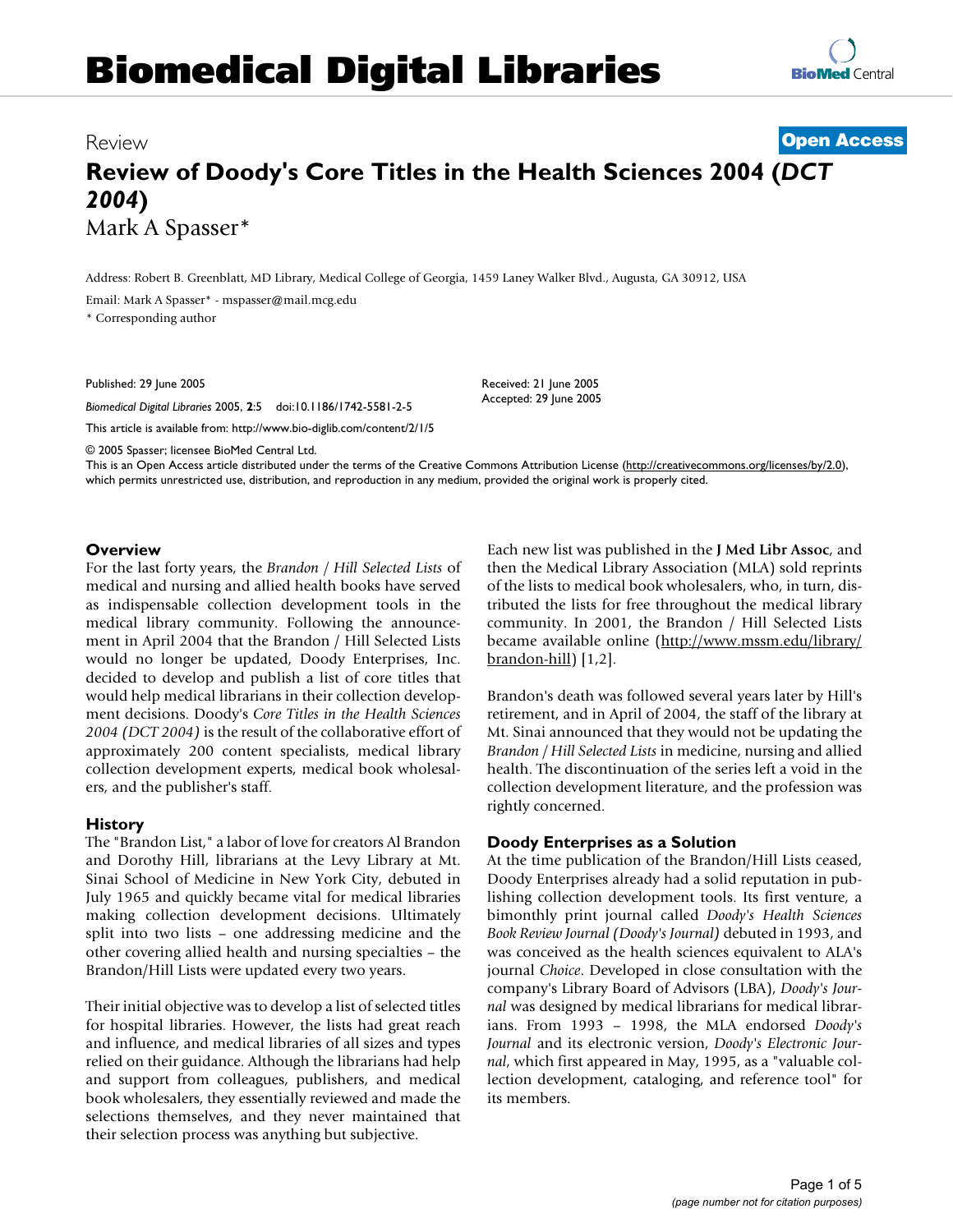# **Biomedical Digital Libraries**



# Review **Open Access**

# **Review of Doody's Core Titles in the Health Sciences 2004 (***DCT 2004***)** Mark A Spasser\*

Address: Robert B. Greenblatt, MD Library, Medical College of Georgia, 1459 Laney Walker Blvd., Augusta, GA 30912, USA

Email: Mark A Spasser\* - mspasser@mail.mcg.edu

\* Corresponding author

Published: 29 June 2005

*Biomedical Digital Libraries* 2005, **2**:5 doi:10.1186/1742-5581-2-5

This article is available from: http://www.bio-diglib.com/content/2/1/5

© 2005 Spasser; licensee BioMed Central Ltd.

This is an Open Access article distributed under the terms of the Creative Commons Attribution License (http://creativecommons.org/licenses/by/2.0), which permits unrestricted use, distribution, and reproduction in any medium, provided the original work is properly cited.

Received: 21 June 2005 Accepted: 29 June 2005

#### **Overview**

For the last forty years, the *Brandon / Hill Selected Lists* of medical and nursing and allied health books have served as indispensable collection development tools in the medical library community. Following the announcement in April 2004 that the Brandon / Hill Selected Lists would no longer be updated, Doody Enterprises, Inc. decided to develop and publish a list of core titles that would help medical librarians in their collection development decisions. Doody's *Core Titles in the Health Sciences 2004 (DCT 2004)* is the result of the collaborative effort of approximately 200 content specialists, medical library collection development experts, medical book wholesalers, and the publisher's staff.

#### **History**

The "Brandon List," a labor of love for creators Al Brandon and Dorothy Hill, librarians at the Levy Library at Mt. Sinai School of Medicine in New York City, debuted in July 1965 and quickly became vital for medical libraries making collection development decisions. Ultimately split into two lists – one addressing medicine and the other covering allied health and nursing specialties – the Brandon/Hill Lists were updated every two years.

Their initial objective was to develop a list of selected titles for hospital libraries. However, the lists had great reach and influence, and medical libraries of all sizes and types relied on their guidance. Although the librarians had help and support from colleagues, publishers, and medical book wholesalers, they essentially reviewed and made the selections themselves, and they never maintained that their selection process was anything but subjective.

Each new list was published in the **J Med Libr Assoc**, and then the Medical Library Association (MLA) sold reprints of the lists to medical book wholesalers, who, in turn, distributed the lists for free throughout the medical library community. In 2001, the Brandon / Hill Selected Lists became available online (http://www.mssm.edu/library/ brandon-hill) [1,2].

Brandon's death was followed several years later by Hill's retirement, and in April of 2004, the staff of the library at Mt. Sinai announced that they would not be updating the *Brandon / Hill Selected Lists* in medicine, nursing and allied health. The discontinuation of the series left a void in the collection development literature, and the profession was rightly concerned.

## **Doody Enterprises as a Solution**

At the time publication of the Brandon/Hill Lists ceased, Doody Enterprises already had a solid reputation in publishing collection development tools. Its first venture, a bimonthly print journal called *Doody's Health Sciences Book Review Journal (Doody's Journal)* debuted in 1993, and was conceived as the health sciences equivalent to ALA's journal *Choice*. Developed in close consultation with the company's Library Board of Advisors (LBA), *Doody's Journal* was designed by medical librarians for medical librarians. From 1993 – 1998, the MLA endorsed *Doody's Journal* and its electronic version, *Doody's Electronic Journal*, which first appeared in May, 1995, as a "valuable collection development, cataloging, and reference tool" for its members.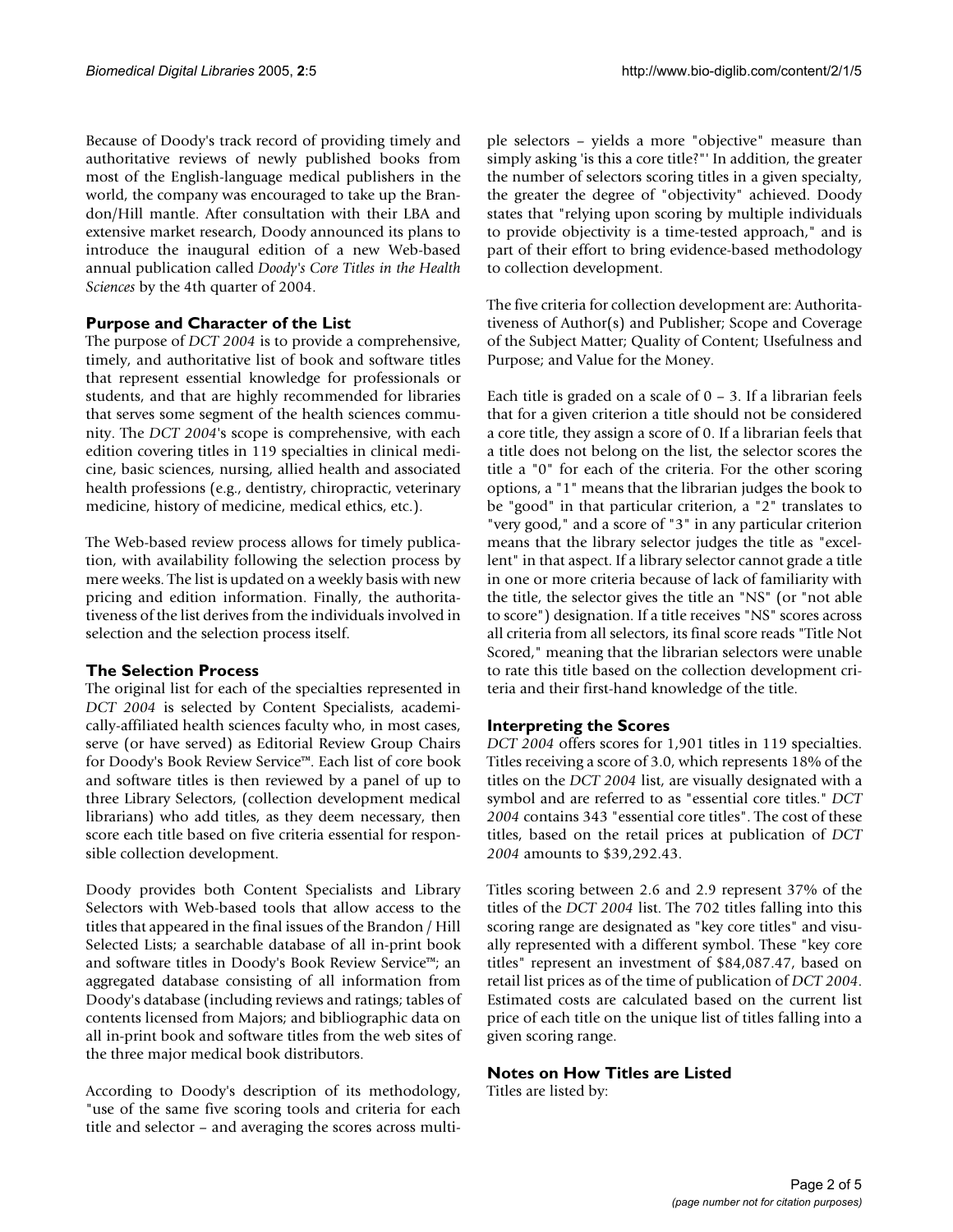Because of Doody's track record of providing timely and authoritative reviews of newly published books from most of the English-language medical publishers in the world, the company was encouraged to take up the Brandon/Hill mantle. After consultation with their LBA and extensive market research, Doody announced its plans to introduce the inaugural edition of a new Web-based annual publication called *Doody's Core Titles in the Health Sciences* by the 4th quarter of 2004.

# **Purpose and Character of the List**

The purpose of *DCT 2004* is to provide a comprehensive, timely, and authoritative list of book and software titles that represent essential knowledge for professionals or students, and that are highly recommended for libraries that serves some segment of the health sciences community. The *DCT 2004*'s scope is comprehensive, with each edition covering titles in 119 specialties in clinical medicine, basic sciences, nursing, allied health and associated health professions (e.g., dentistry, chiropractic, veterinary medicine, history of medicine, medical ethics, etc.).

The Web-based review process allows for timely publication, with availability following the selection process by mere weeks. The list is updated on a weekly basis with new pricing and edition information. Finally, the authoritativeness of the list derives from the individuals involved in selection and the selection process itself.

## **The Selection Process**

The original list for each of the specialties represented in *DCT 2004* is selected by Content Specialists, academically-affiliated health sciences faculty who, in most cases, serve (or have served) as Editorial Review Group Chairs for Doody's Book Review Service™. Each list of core book and software titles is then reviewed by a panel of up to three Library Selectors, (collection development medical librarians) who add titles, as they deem necessary, then score each title based on five criteria essential for responsible collection development.

Doody provides both Content Specialists and Library Selectors with Web-based tools that allow access to the titles that appeared in the final issues of the Brandon / Hill Selected Lists; a searchable database of all in-print book and software titles in Doody's Book Review Service™; an aggregated database consisting of all information from Doody's database (including reviews and ratings; tables of contents licensed from Majors; and bibliographic data on all in-print book and software titles from the web sites of the three major medical book distributors.

According to Doody's description of its methodology, "use of the same five scoring tools and criteria for each title and selector – and averaging the scores across multiple selectors – yields a more "objective" measure than simply asking 'is this a core title?"' In addition, the greater the number of selectors scoring titles in a given specialty, the greater the degree of "objectivity" achieved. Doody states that "relying upon scoring by multiple individuals to provide objectivity is a time-tested approach," and is part of their effort to bring evidence-based methodology to collection development.

The five criteria for collection development are: Authoritativeness of Author(s) and Publisher; Scope and Coverage of the Subject Matter; Quality of Content; Usefulness and Purpose; and Value for the Money.

Each title is graded on a scale of  $0 - 3$ . If a librarian feels that for a given criterion a title should not be considered a core title, they assign a score of 0. If a librarian feels that a title does not belong on the list, the selector scores the title a "0" for each of the criteria. For the other scoring options, a "1" means that the librarian judges the book to be "good" in that particular criterion, a "2" translates to "very good," and a score of "3" in any particular criterion means that the library selector judges the title as "excellent" in that aspect. If a library selector cannot grade a title in one or more criteria because of lack of familiarity with the title, the selector gives the title an "NS" (or "not able to score") designation. If a title receives "NS" scores across all criteria from all selectors, its final score reads "Title Not Scored," meaning that the librarian selectors were unable to rate this title based on the collection development criteria and their first-hand knowledge of the title.

## **Interpreting the Scores**

*DCT 2004* offers scores for 1,901 titles in 119 specialties. Titles receiving a score of 3.0, which represents 18% of the titles on the *DCT 2004* list, are visually designated with a symbol and are referred to as "essential core titles." *DCT 2004* contains 343 "essential core titles". The cost of these titles, based on the retail prices at publication of *DCT 2004* amounts to \$39,292.43.

Titles scoring between 2.6 and 2.9 represent 37% of the titles of the *DCT 2004* list. The 702 titles falling into this scoring range are designated as "key core titles" and visually represented with a different symbol. These "key core titles" represent an investment of \$84,087.47, based on retail list prices as of the time of publication of *DCT 2004*. Estimated costs are calculated based on the current list price of each title on the unique list of titles falling into a given scoring range.

## **Notes on How Titles are Listed**

Titles are listed by: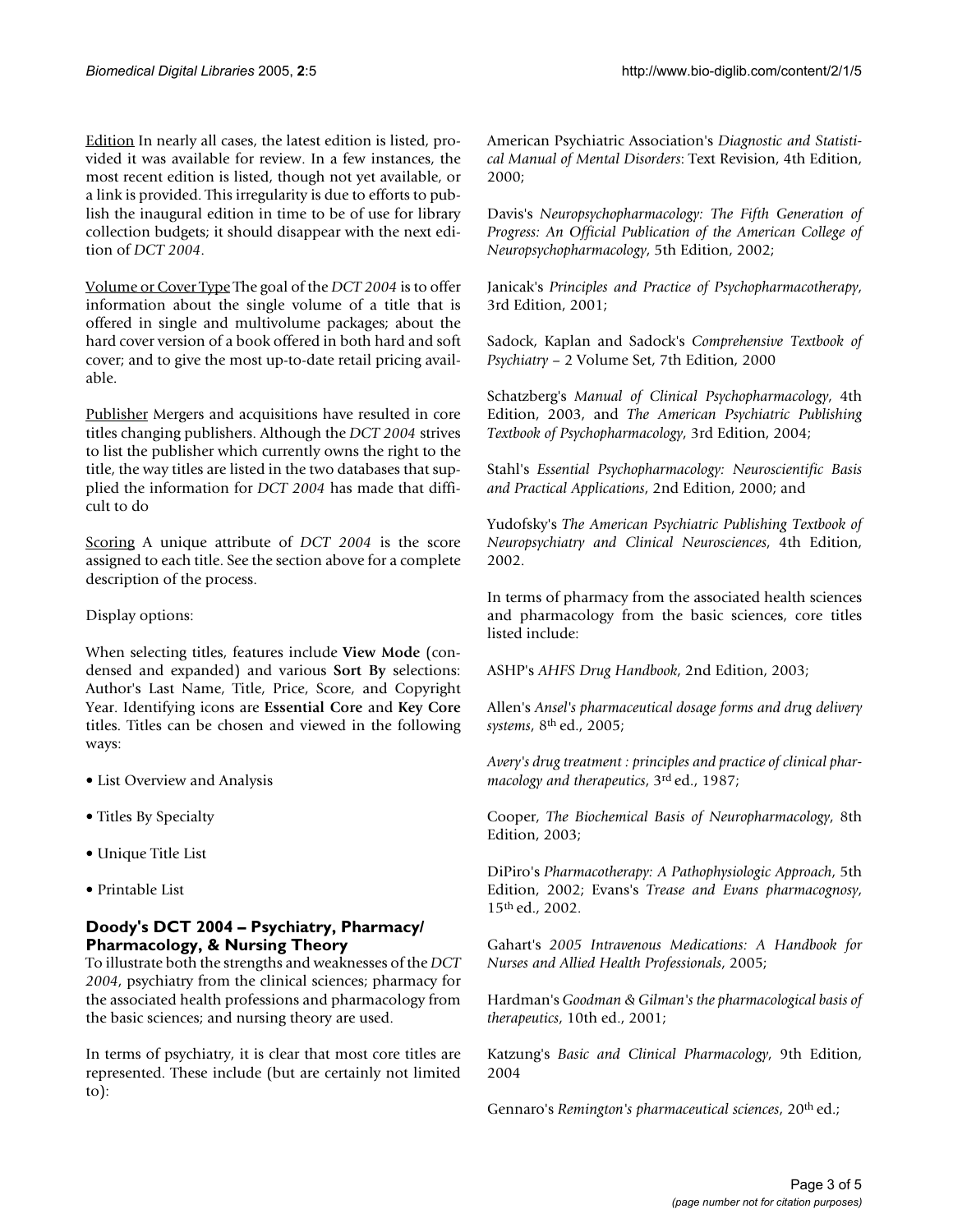Edition In nearly all cases, the latest edition is listed, provided it was available for review. In a few instances, the most recent edition is listed, though not yet available, or a link is provided. This irregularity is due to efforts to publish the inaugural edition in time to be of use for library collection budgets; it should disappear with the next edition of *DCT 2004*.

Volume or Cover Type The goal of the *DCT 2004* is to offer information about the single volume of a title that is offered in single and multivolume packages; about the hard cover version of a book offered in both hard and soft cover; and to give the most up-to-date retail pricing available.

Publisher Mergers and acquisitions have resulted in core titles changing publishers. Although the *DCT 2004* strives to list the publisher which currently owns the right to the title, the way titles are listed in the two databases that supplied the information for *DCT 2004* has made that difficult to do

Scoring A unique attribute of *DCT 2004* is the score assigned to each title. See the section above for a complete description of the process.

Display options:

When selecting titles, features include **View Mode** (condensed and expanded) and various **Sort By** selections: Author's Last Name, Title, Price, Score, and Copyright Year. Identifying icons are **Essential Core** and **Key Core** titles. Titles can be chosen and viewed in the following ways:

- List Overview and Analysis
- Titles By Specialty
- Unique Title List
- Printable List

# **Doody's DCT 2004 – Psychiatry, Pharmacy/ Pharmacology, & Nursing Theory**

To illustrate both the strengths and weaknesses of the *DCT 2004*, psychiatry from the clinical sciences; pharmacy for the associated health professions and pharmacology from the basic sciences; and nursing theory are used.

In terms of psychiatry, it is clear that most core titles are represented. These include (but are certainly not limited to):

American Psychiatric Association's *Diagnostic and Statistical Manual of Mental Disorders*: Text Revision, 4th Edition, 2000;

Davis's *Neuropsychopharmacology: The Fifth Generation of Progress: An Official Publication of the American College of Neuropsychopharmacology*, 5th Edition, 2002;

Janicak's *Principles and Practice of Psychopharmacotherapy*, 3rd Edition, 2001;

Sadock, Kaplan and Sadock's *Comprehensive Textbook of Psychiatry* – 2 Volume Set, 7th Edition, 2000

Schatzberg's *Manual of Clinical Psychopharmacology*, 4th Edition, 2003, and *The American Psychiatric Publishing Textbook of Psychopharmacology*, 3rd Edition, 2004;

Stahl's *Essential Psychopharmacology: Neuroscientific Basis and Practical Applications*, 2nd Edition, 2000; and

Yudofsky's *The American Psychiatric Publishing Textbook of Neuropsychiatry and Clinical Neurosciences*, 4th Edition, 2002.

In terms of pharmacy from the associated health sciences and pharmacology from the basic sciences, core titles listed include:

ASHP's *AHFS Drug Handbook*, 2nd Edition, 2003;

Allen's *Ansel's pharmaceutical dosage forms and drug delivery systems*, 8th ed., 2005;

*Avery's drug treatment : principles and practice of clinical pharmacology and therapeutics*, 3rd ed., 1987;

Cooper, *The Biochemical Basis of Neuropharmacology*, 8th Edition, 2003;

DiPiro's *Pharmacotherapy: A Pathophysiologic Approach*, 5th Edition, 2002; Evans's *Trease and Evans pharmacognosy*, 15th ed., 2002.

Gahart's *2005 Intravenous Medications: A Handbook for Nurses and Allied Health Professionals*, 2005;

Hardman's *Goodman & Gilman's the pharmacological basis of therapeutics*, 10th ed., 2001;

Katzung's *Basic and Clinical Pharmacology*, 9th Edition, 2004

Gennaro's *Remington's pharmaceutical sciences*, 20th ed.;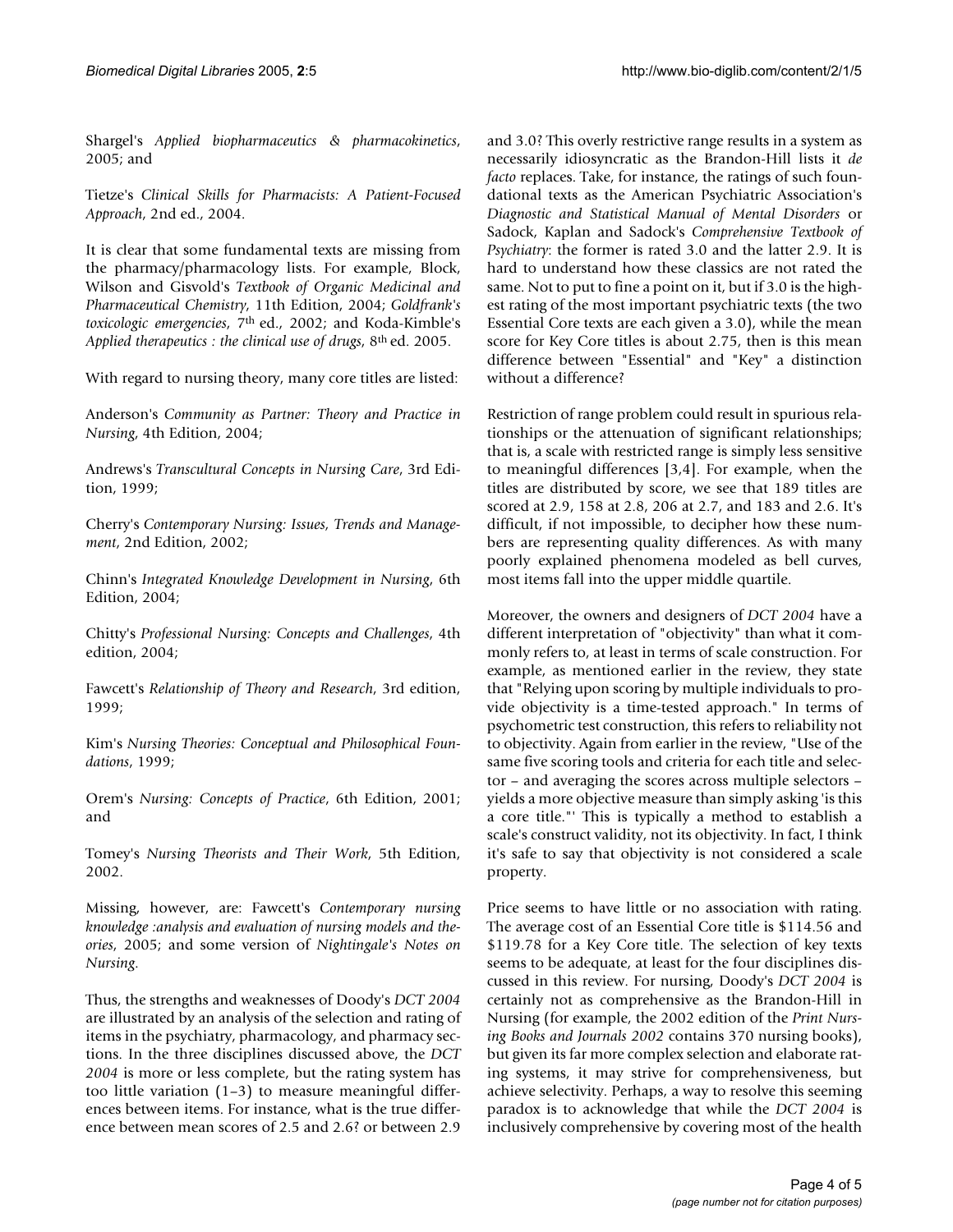Shargel's *Applied biopharmaceutics & pharmacokinetics*, 2005; and

Tietze's *Clinical Skills for Pharmacists: A Patient-Focused Approach*, 2nd ed., 2004.

It is clear that some fundamental texts are missing from the pharmacy/pharmacology lists. For example, Block, Wilson and Gisvold's *Textbook of Organic Medicinal and Pharmaceutical Chemistry*, 11th Edition, 2004; *Goldfrank's toxicologic emergencies*, 7th ed., 2002; and Koda-Kimble's *Applied therapeutics : the clinical use of drugs*, 8th ed. 2005.

With regard to nursing theory, many core titles are listed:

Anderson's *Community as Partner: Theory and Practice in Nursing*, 4th Edition, 2004;

Andrews's *Transcultural Concepts in Nursing Care*, 3rd Edition, 1999;

Cherry's *Contemporary Nursing: Issues, Trends and Management*, 2nd Edition, 2002;

Chinn's *Integrated Knowledge Development in Nursing*, 6th Edition, 2004;

Chitty's *Professional Nursing: Concepts and Challenges*, 4th edition, 2004;

Fawcett's *Relationship of Theory and Research*, 3rd edition, 1999;

Kim's *Nursing Theories: Conceptual and Philosophical Foundations*, 1999;

Orem's *Nursing: Concepts of Practice*, 6th Edition, 2001; and

Tomey's *Nursing Theorists and Their Work*, 5th Edition, 2002.

Missing, however, are: Fawcett's *Contemporary nursing knowledge :analysis and evaluation of nursing models and theories*, 2005; and some version of *Nightingale's Notes on Nursing*.

Thus, the strengths and weaknesses of Doody's *DCT 2004* are illustrated by an analysis of the selection and rating of items in the psychiatry, pharmacology, and pharmacy sections. In the three disciplines discussed above, the *DCT 2004* is more or less complete, but the rating system has too little variation (1–3) to measure meaningful differences between items. For instance, what is the true difference between mean scores of 2.5 and 2.6? or between 2.9

and 3.0? This overly restrictive range results in a system as necessarily idiosyncratic as the Brandon-Hill lists it *de facto* replaces. Take, for instance, the ratings of such foundational texts as the American Psychiatric Association's *Diagnostic and Statistical Manual of Mental Disorders* or Sadock, Kaplan and Sadock's *Comprehensive Textbook of Psychiatry*: the former is rated 3.0 and the latter 2.9. It is hard to understand how these classics are not rated the same. Not to put to fine a point on it, but if 3.0 is the highest rating of the most important psychiatric texts (the two Essential Core texts are each given a 3.0), while the mean score for Key Core titles is about 2.75, then is this mean difference between "Essential" and "Key" a distinction without a difference?

Restriction of range problem could result in spurious relationships or the attenuation of significant relationships; that is, a scale with restricted range is simply less sensitive to meaningful differences [3,4]. For example, when the titles are distributed by score, we see that 189 titles are scored at 2.9, 158 at 2.8, 206 at 2.7, and 183 and 2.6. It's difficult, if not impossible, to decipher how these numbers are representing quality differences. As with many poorly explained phenomena modeled as bell curves, most items fall into the upper middle quartile.

Moreover, the owners and designers of *DCT 2004* have a different interpretation of "objectivity" than what it commonly refers to, at least in terms of scale construction. For example, as mentioned earlier in the review, they state that "Relying upon scoring by multiple individuals to provide objectivity is a time-tested approach." In terms of psychometric test construction, this refers to reliability not to objectivity. Again from earlier in the review, "Use of the same five scoring tools and criteria for each title and selector – and averaging the scores across multiple selectors – yields a more objective measure than simply asking 'is this a core title."' This is typically a method to establish a scale's construct validity, not its objectivity. In fact, I think it's safe to say that objectivity is not considered a scale property.

Price seems to have little or no association with rating. The average cost of an Essential Core title is \$114.56 and \$119.78 for a Key Core title. The selection of key texts seems to be adequate, at least for the four disciplines discussed in this review. For nursing, Doody's *DCT 2004* is certainly not as comprehensive as the Brandon-Hill in Nursing (for example, the 2002 edition of the *Print Nursing Books and Journals 2002* contains 370 nursing books), but given its far more complex selection and elaborate rating systems, it may strive for comprehensiveness, but achieve selectivity. Perhaps, a way to resolve this seeming paradox is to acknowledge that while the *DCT 2004* is inclusively comprehensive by covering most of the health